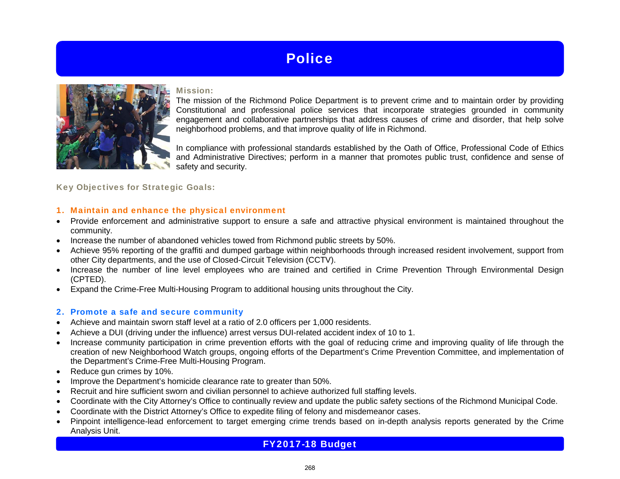# **Police**



#### Mission**:**

The mission of the Richmond Police Department is to prevent crime and to maintain order by providing Constitutional and professional police services that incorporate strategies grounded in community engagement and collaborative partnerships that address causes of crime and disorder, that help solve neighborhood problems, and that improve quality of life in Richmond.

In compliance with professional standards established by the Oath of Office, Professional Code of Ethics and Administrative Directives; perform in a manner that promotes public trust, confidence and sense of safety and security.

#### Key Objectives for Strategic Goals:

#### 1. Maintain and enhance the physical environment

- Provide enforcement and administrative support to ensure a safe and attractive physical environment is maintained throughout the community.
- Increase the number of abandoned vehicles towed from Richmond public streets by 50%.
- Achieve 95% reporting of the graffiti and dumped garbage within neighborhoods through increased resident involvement, support from other City departments, and the use of Closed-Circuit Television (CCTV).
- Increase the number of line level employees who are trained and certified in Crime Prevention Through Environmental Design (CPTED).
- Expand the Crime-Free Multi-Housing Program to additional housing units throughout the City.

#### 2. Promote a safe and secure community

- Achieve and maintain sworn staff level at a ratio of 2.0 officers per 1,000 residents.
- Achieve a DUI (driving under the influence) arrest versus DUI-related accident index of 10 to 1.
- Increase community participation in crime prevention efforts with the goal of reducing crime and improving quality of life through the creation of new Neighborhood Watch groups, ongoing efforts of the Department's Crime Prevention Committee, and implementation of the Department's Crime-Free Multi-Housing Program.
- Reduce gun crimes by 10%.
- Improve the Department's homicide clearance rate to greater than 50%.
- Recruit and hire sufficient sworn and civilian personnel to achieve authorized full staffing levels.
- Coordinate with the City Attorney's Office to continually review and update the public safety sections of the Richmond Municipal Code.
- Coordinate with the District Attorney's Office to expedite filing of felony and misdemeanor cases.
- Pinpoint intelligence-lead enforcement to target emerging crime trends based on in-depth analysis reports generated by the Crime Analysis Unit.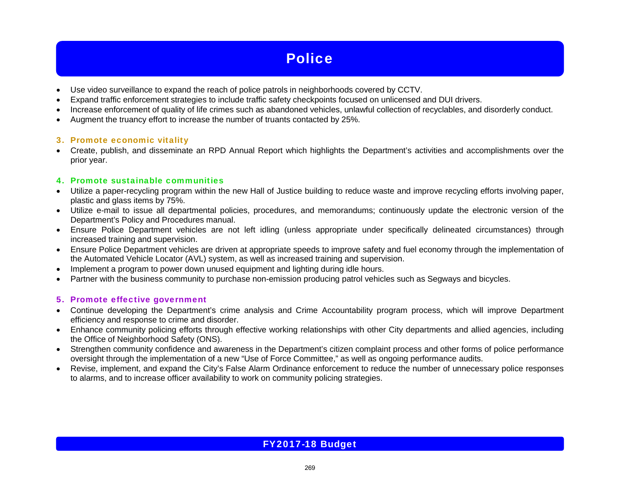# **Police**

- Use video surveillance to expand the reach of police patrols in neighborhoods covered by CCTV.
- Expand traffic enforcement strategies to include traffic safety checkpoints focused on unlicensed and DUI drivers.
- Increase enforcement of quality of life crimes such as abandoned vehicles, unlawful collection of recyclables, and disorderly conduct.
- Augment the truancy effort to increase the number of truants contacted by 25%.

#### 3. Promote economic vitality

• Create, publish, and disseminate an RPD Annual Report which highlights the Department's activities and accomplishments over the prior year.

#### 4. Promote sustainable communities

- Utilize a paper-recycling program within the new Hall of Justice building to reduce waste and improve recycling efforts involving paper, plastic and glass items by 75%.
- Utilize e-mail to issue all departmental policies, procedures, and memorandums; continuously update the electronic version of the Department's Policy and Procedures manual.
- Ensure Police Department vehicles are not left idling (unless appropriate under specifically delineated circumstances) through increased training and supervision.
- Ensure Police Department vehicles are driven at appropriate speeds to improve safety and fuel economy through the implementation of the Automated Vehicle Locator (AVL) system, as well as increased training and supervision.
- Implement a program to power down unused equipment and lighting during idle hours.
- Partner with the business community to purchase non-emission producing patrol vehicles such as Segways and bicycles.

#### 5. Promote effective government

- Continue developing the Department's crime analysis and Crime Accountability program process, which will improve Department efficiency and response to crime and disorder.
- Enhance community policing efforts through effective working relationships with other City departments and allied agencies, including the Office of Neighborhood Safety (ONS).
- Strengthen community confidence and awareness in the Department's citizen complaint process and other forms of police performance oversight through the implementation of a new "Use of Force Committee," as well as ongoing performance audits.
- Revise, implement, and expand the City's False Alarm Ordinance enforcement to reduce the number of unnecessary police responses to alarms, and to increase officer availability to work on community policing strategies.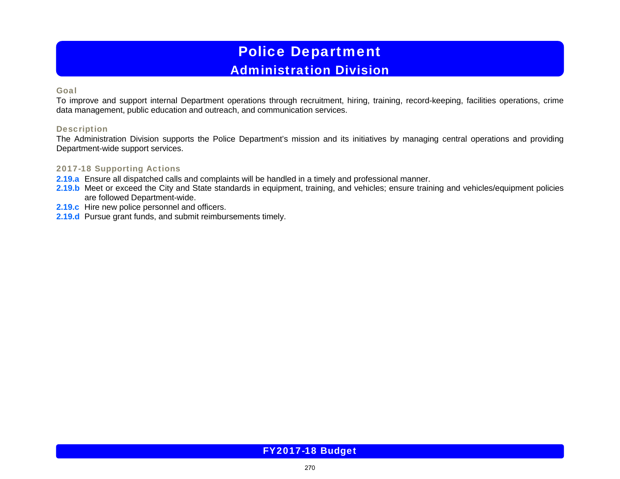## Police Department Administration Division

#### Goal

To improve and support internal Department operations through recruitment, hiring, training, record-keeping, facilities operations, crime data management, public education and outreach, and communication services.

#### **Description**

The Administration Division supports the Police Department's mission and its initiatives by managing central operations and providing Department-wide support services.

#### 2017-18 Supporting Actions

- **2.19.a** Ensure all dispatched calls and complaints will be handled in a timely and professional manner.
- 2.19.b Meet or exceed the City and State standards in equipment, training, and vehicles; ensure training and vehicles/equipment policies are followed Department-wide.
- **2.19.c** Hire new police personnel and officers.
- **2.19.d** Pursue grant funds, and submit reimbursements timely.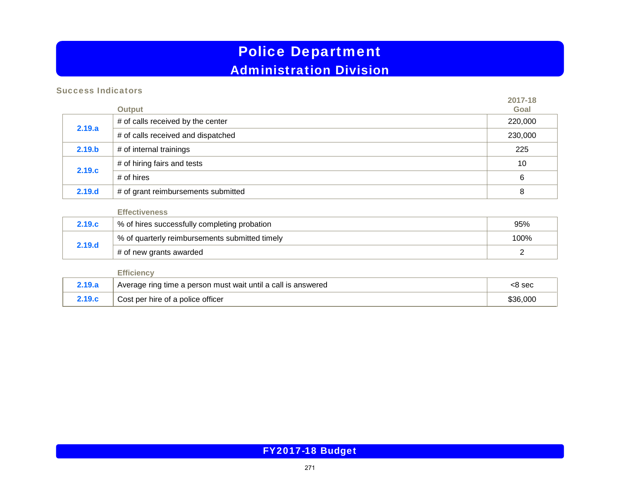# Police Department Administration Division

#### Success Indicators

|                   | Output                              | 2017-18<br>Goal |
|-------------------|-------------------------------------|-----------------|
| 2.19.a            | # of calls received by the center   | 220,000         |
|                   | # of calls received and dispatched  | 230,000         |
| 2.19.b            | # of internal trainings             | 225             |
| 2.19 <sub>c</sub> | # of hiring fairs and tests         | 10              |
|                   | # of hires                          | 6               |
| 2.19.d            | # of grant reimbursements submitted | 8               |

#### **Effectiveness**

| 2.19 <sub>c</sub> | % of hires successfully completing probation   |      |
|-------------------|------------------------------------------------|------|
| 2.19.d            | % of quarterly reimbursements submitted timely | 100% |
|                   | # of new grants awarded                        |      |

#### **Efficiency**

| 2.19.a | Average ring time a person must wait until a call is answered | c8 sec   |
|--------|---------------------------------------------------------------|----------|
|        | Cost per hire of a police officer                             | \$36.000 |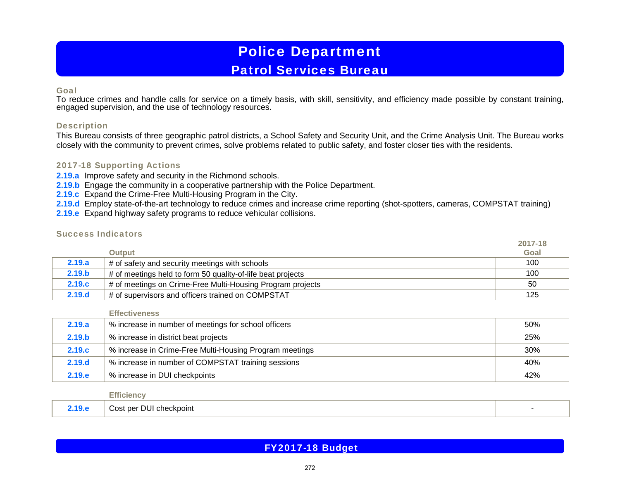## Police Department Patrol Services Bureau

#### Goal

To reduce crimes and handle calls for service on a timely basis, with skill, sensitivity, and efficiency made possible by constant training, engaged supervision, and the use of technology resources.

#### **Description**

This Bureau consists of three geographic patrol districts, a School Safety and Security Unit, and the Crime Analysis Unit. The Bureau works closely with the community to prevent crimes, solve problems related to public safety, and foster closer ties with the residents.

#### 2017-18 Supporting Actions

- **2.19.a** Improve safety and security in the Richmond schools.
- **2.19.b** Engage the community in a cooperative partnership with the Police Department.
- **2.19.c** Expand the Crime-Free Multi-Housing Program in the City.
- **2.19.d** Employ state-of-the-art technology to reduce crimes and increase crime reporting (shot-spotters, cameras, COMPSTAT training)
- **2.19.e** Expand highway safety programs to reduce vehicular collisions.

#### Success Indicators

|                   |                                                             | 2017-18 |
|-------------------|-------------------------------------------------------------|---------|
|                   | Output                                                      | Goal    |
| 2.19.a            | # of safety and security meetings with schools              | 100     |
| 2.19.b            | # of meetings held to form 50 quality-of-life beat projects | 100     |
| 2.19 <sub>c</sub> | # of meetings on Crime-Free Multi-Housing Program projects  | 50      |
| 2.19.d            | # of supervisors and officers trained on COMPSTAT           | 125     |

#### **Effectiveness**

| 2.19.a            | % increase in number of meetings for school officers    | 50% |
|-------------------|---------------------------------------------------------|-----|
| 2.19.b            | % increase in district beat projects                    | 25% |
| 2.19 <sub>c</sub> | % increase in Crime-Free Multi-Housing Program meetings | 30% |
| 2.19.d            | % increase in number of COMPSTAT training sessions      | 40% |
| 2.19.e            | % increase in DUI checkpoints                           | 42% |

#### **Efficiency**

| ıч.<br><u>en la Alb</u> | Cost per DUI checkpoint |  |
|-------------------------|-------------------------|--|
|-------------------------|-------------------------|--|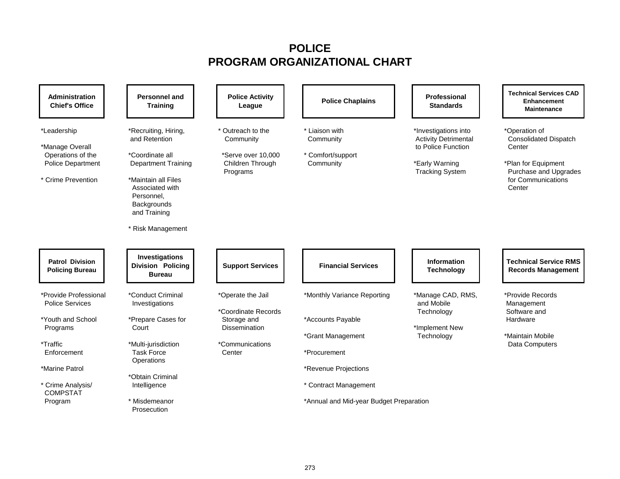## **POLICE PROGRAM ORGANIZATIONAL CHART**

| <b>Administration</b><br><b>Chief's Office</b>                                                        | <b>Personnel and</b><br><b>Police Activity</b><br><b>Training</b><br>League                                                      |                                                                                      | <b>Police Chaplains</b>                                       | Professional<br><b>Standards</b>                                                                                      | <b>Technical Services CAD</b><br><b>Enhancement</b><br><b>Maintenance</b>                                                               |  |  |
|-------------------------------------------------------------------------------------------------------|----------------------------------------------------------------------------------------------------------------------------------|--------------------------------------------------------------------------------------|---------------------------------------------------------------|-----------------------------------------------------------------------------------------------------------------------|-----------------------------------------------------------------------------------------------------------------------------------------|--|--|
| *Leadership<br>*Manage Overall<br>Operations of the<br><b>Police Department</b><br>* Crime Prevention | *Recruiting, Hiring,<br>and Retention<br>*Coordinate all<br><b>Department Training</b><br>*Maintain all Files<br>Associated with | * Outreach to the<br>Community<br>*Serve over 10,000<br>Children Through<br>Programs | * Liaison with<br>Community<br>* Comfort/support<br>Community | *Investigations into<br><b>Activity Detrimental</b><br>to Police Function<br>*Early Warning<br><b>Tracking System</b> | *Operation of<br><b>Consolidated Dispatch</b><br>Center<br>*Plan for Equipment<br>Purchase and Upgrades<br>for Communications<br>Center |  |  |
|                                                                                                       | Personnel,<br>Backgrounds<br>and Training<br>* Risk Management                                                                   |                                                                                      |                                                               |                                                                                                                       |                                                                                                                                         |  |  |
| <b>Patrol Division</b><br><b>Policing Bureau</b>                                                      | Investigations<br><b>Division Policing</b><br><b>Bureau</b>                                                                      | <b>Support Services</b>                                                              | <b>Financial Services</b>                                     | <b>Information</b><br><b>Technology</b>                                                                               | <b>Technical Service RMS</b><br><b>Records Management</b>                                                                               |  |  |
| *Provide Professional<br><b>Police Services</b>                                                       | *Conduct Criminal<br>Investigations                                                                                              | *Operate the Jail<br>*Coordinate Records                                             | *Monthly Variance Reporting                                   | *Manage CAD, RMS,<br>and Mobile<br>Technology                                                                         | *Provide Records<br>Management<br>Software and                                                                                          |  |  |
| *Youth and School<br>Programs                                                                         | *Prepare Cases for<br>Court                                                                                                      | Storage and<br><b>Dissemination</b>                                                  | *Accounts Payable<br>*Grant Management                        | *Implement New<br>Technology                                                                                          | Hardware<br>*Maintain Mobile                                                                                                            |  |  |
| *Traffic<br>Enforcement                                                                               | *Multi-jurisdiction<br><b>Task Force</b><br>Operations                                                                           | *Communications<br>Center                                                            | *Procurement                                                  |                                                                                                                       | Data Computers                                                                                                                          |  |  |
| *Marine Patrol                                                                                        | *Obtain Criminal                                                                                                                 |                                                                                      | *Revenue Projections                                          |                                                                                                                       |                                                                                                                                         |  |  |
| * Crime Analysis/<br><b>COMPSTAT</b>                                                                  | Intelligence<br>* Misdemeanor                                                                                                    |                                                                                      | * Contract Management                                         |                                                                                                                       |                                                                                                                                         |  |  |
| Program                                                                                               | Prosecution                                                                                                                      |                                                                                      | *Annual and Mid-year Budget Preparation                       |                                                                                                                       |                                                                                                                                         |  |  |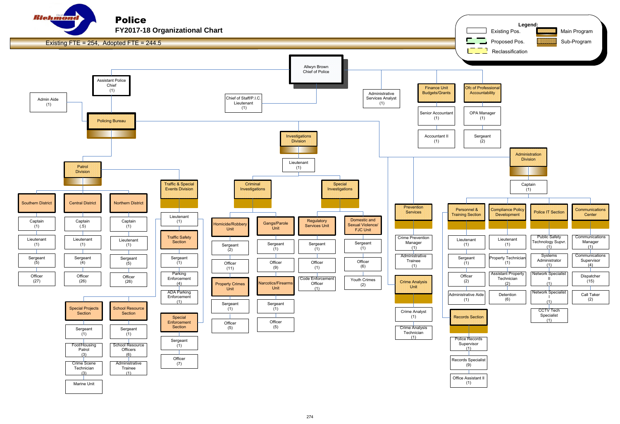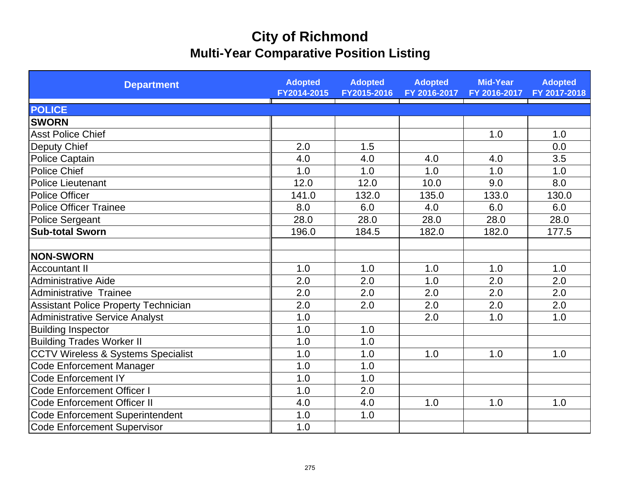| <b>Department</b>                             | <b>Adopted</b><br>FY2014-2015 | <b>Adopted</b><br>FY2015-2016 | <b>Adopted</b><br>FY 2016-2017 | <b>Mid-Year</b><br>FY 2016-2017 | <b>Adopted</b><br>FY 2017-2018 |
|-----------------------------------------------|-------------------------------|-------------------------------|--------------------------------|---------------------------------|--------------------------------|
| <b>POLICE</b>                                 |                               |                               |                                |                                 |                                |
| <b>SWORN</b>                                  |                               |                               |                                |                                 |                                |
| <b>Asst Police Chief</b>                      |                               |                               |                                | 1.0                             | 1.0                            |
| Deputy Chief                                  | 2.0                           | 1.5                           |                                |                                 | 0.0                            |
| Police Captain                                | 4.0                           | 4.0                           | 4.0                            | 4.0                             | 3.5                            |
| <b>Police Chief</b>                           | 1.0                           | 1.0                           | 1.0                            | 1.0                             | 1.0                            |
| Police Lieutenant                             | 12.0                          | 12.0                          | 10.0                           | 9.0                             | 8.0                            |
| <b>Police Officer</b>                         | 141.0                         | 132.0                         | 135.0                          | 133.0                           | 130.0                          |
| <b>Police Officer Trainee</b>                 | 8.0                           | 6.0                           | 4.0                            | 6.0                             | 6.0                            |
| Police Sergeant                               | 28.0                          | 28.0                          | 28.0                           | 28.0                            | 28.0                           |
| <b>Sub-total Sworn</b>                        | 196.0                         | 184.5                         | 182.0                          | 182.0                           | 177.5                          |
| <b>NON-SWORN</b>                              |                               |                               |                                |                                 |                                |
| <b>Accountant II</b>                          | 1.0                           | 1.0                           | 1.0                            | 1.0                             | 1.0                            |
| <b>Administrative Aide</b>                    | 2.0                           | 2.0                           | 1.0                            | 2.0                             | 2.0                            |
| Administrative Trainee                        | 2.0                           | 2.0                           | 2.0                            | 2.0                             | 2.0                            |
| <b>Assistant Police Property Technician</b>   | 2.0                           | 2.0                           | 2.0                            | 2.0                             | 2.0                            |
| <b>Administrative Service Analyst</b>         | 1.0                           |                               | 2.0                            | 1.0                             | 1.0                            |
| <b>Building Inspector</b>                     | 1.0                           | 1.0                           |                                |                                 |                                |
| <b>Building Trades Worker II</b>              | 1.0                           | 1.0                           |                                |                                 |                                |
| <b>CCTV Wireless &amp; Systems Specialist</b> | 1.0                           | 1.0                           | 1.0                            | 1.0                             | 1.0                            |
| <b>Code Enforcement Manager</b>               | 1.0                           | 1.0                           |                                |                                 |                                |
| <b>Code Enforcement IY</b>                    | 1.0                           | 1.0                           |                                |                                 |                                |
| <b>Code Enforcement Officer I</b>             | 1.0                           | 2.0                           |                                |                                 |                                |
| <b>Code Enforcement Officer II</b>            | 4.0                           | 4.0                           | 1.0                            | 1.0                             | 1.0                            |
| <b>Code Enforcement Superintendent</b>        | 1.0                           | 1.0                           |                                |                                 |                                |
| <b>Code Enforcement Supervisor</b>            | 1.0                           |                               |                                |                                 |                                |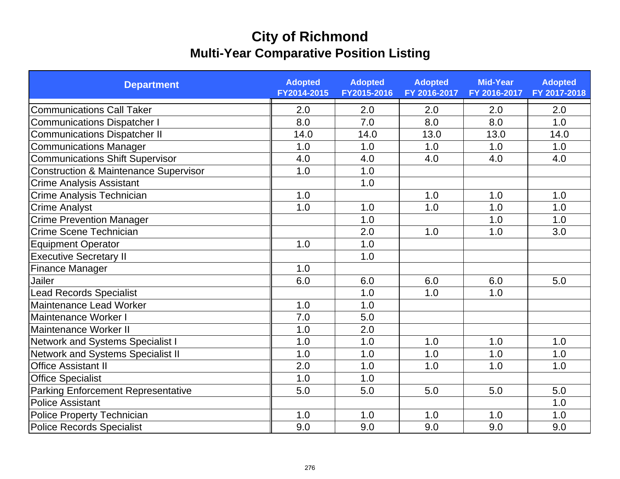| <b>Department</b>                                | <b>Adopted</b><br>FY2014-2015 | <b>Adopted</b><br>FY2015-2016 | <b>Adopted</b><br>FY 2016-2017 | <b>Mid-Year</b><br>FY 2016-2017 | <b>Adopted</b><br>FY 2017-2018 |
|--------------------------------------------------|-------------------------------|-------------------------------|--------------------------------|---------------------------------|--------------------------------|
| <b>Communications Call Taker</b>                 | 2.0                           | 2.0                           | 2.0                            | 2.0                             | 2.0                            |
| <b>Communications Dispatcher I</b>               | 8.0                           | 7.0                           | 8.0                            | 8.0                             | 1.0                            |
| <b>Communications Dispatcher II</b>              | 14.0                          | 14.0                          | 13.0                           | 13.0                            | 14.0                           |
| <b>Communications Manager</b>                    | 1.0                           | 1.0                           | 1.0                            | 1.0                             | 1.0                            |
| <b>Communications Shift Supervisor</b>           | 4.0                           | 4.0                           | 4.0                            | 4.0                             | 4.0                            |
| <b>Construction &amp; Maintenance Supervisor</b> | 1.0                           | 1.0                           |                                |                                 |                                |
| <b>Crime Analysis Assistant</b>                  |                               | 1.0                           |                                |                                 |                                |
| Crime Analysis Technician                        | 1.0                           |                               | 1.0                            | 1.0                             | 1.0                            |
| <b>Crime Analyst</b>                             | 1.0                           | 1.0                           | 1.0                            | 1.0                             | 1.0                            |
| <b>Crime Prevention Manager</b>                  |                               | 1.0                           |                                | 1.0                             | 1.0                            |
| Crime Scene Technician                           |                               | 2.0                           | 1.0                            | 1.0                             | 3.0                            |
| <b>Equipment Operator</b>                        | 1.0                           | 1.0                           |                                |                                 |                                |
| <b>Executive Secretary II</b>                    |                               | 1.0                           |                                |                                 |                                |
| <b>Finance Manager</b>                           | 1.0                           |                               |                                |                                 |                                |
| Jailer                                           | 6.0                           | 6.0                           | 6.0                            | 6.0                             | 5.0                            |
| <b>Lead Records Specialist</b>                   |                               | 1.0                           | 1.0                            | 1.0                             |                                |
| <b>Maintenance Lead Worker</b>                   | 1.0                           | 1.0                           |                                |                                 |                                |
| Maintenance Worker I                             | 7.0                           | 5.0                           |                                |                                 |                                |
| Maintenance Worker II                            | 1.0                           | 2.0                           |                                |                                 |                                |
| <b>Network and Systems Specialist I</b>          | 1.0                           | 1.0                           | 1.0                            | 1.0                             | 1.0                            |
| <b>Network and Systems Specialist II</b>         | 1.0                           | 1.0                           | 1.0                            | 1.0                             | 1.0                            |
| <b>Office Assistant II</b>                       | 2.0                           | 1.0                           | 1.0                            | 1.0                             | 1.0                            |
| <b>Office Specialist</b>                         | 1.0                           | 1.0                           |                                |                                 |                                |
| <b>Parking Enforcement Representative</b>        | 5.0                           | 5.0                           | 5.0                            | 5.0                             | 5.0                            |
| <b>Police Assistant</b>                          |                               |                               |                                |                                 | 1.0                            |
| <b>Police Property Technician</b>                | 1.0                           | 1.0                           | 1.0                            | 1.0                             | 1.0                            |
| <b>Police Records Specialist</b>                 | 9.0                           | 9.0                           | 9.0                            | 9.0                             | 9.0                            |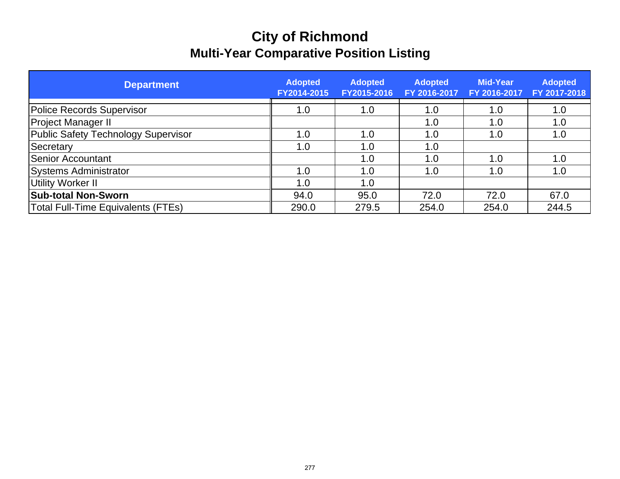| <b>Department</b>                         | <b>Adopted</b><br>FY2014-2015 | <b>Adopted</b><br>FY2015-2016 | <b>Adopted</b><br>FY 2016-2017 | <b>Mid-Year</b><br>FY 2016-2017 | <b>Adopted</b><br>FY 2017-2018 |
|-------------------------------------------|-------------------------------|-------------------------------|--------------------------------|---------------------------------|--------------------------------|
| Police Records Supervisor                 | 1.0                           | 1.0                           | 1.0                            | 1.0                             | 1.0                            |
| <b>Project Manager II</b>                 |                               |                               | 1.0                            | 1.0                             | 1.0                            |
| Public Safety Technology Supervisor       | 1.0                           | 1.0                           | 1.0                            | 1.0                             | 1.0                            |
| Secretary                                 | 1.0                           | 1.0                           | 1.0                            |                                 |                                |
| <b>Senior Accountant</b>                  |                               | 1.0                           | 1.0                            | 1.0                             | 1.0                            |
| <b>Systems Administrator</b>              | 1.0                           | 1.0                           | 1.0                            | 1.0                             | 1.0                            |
| Utility Worker II                         | 1.0                           | 1.0                           |                                |                                 |                                |
| <b>Sub-total Non-Sworn</b>                | 94.0                          | 95.0                          | 72.0                           | 72.0                            | 67.0                           |
| <b>Total Full-Time Equivalents (FTEs)</b> | 290.0                         | 279.5                         | 254.0                          | 254.0                           | 244.5                          |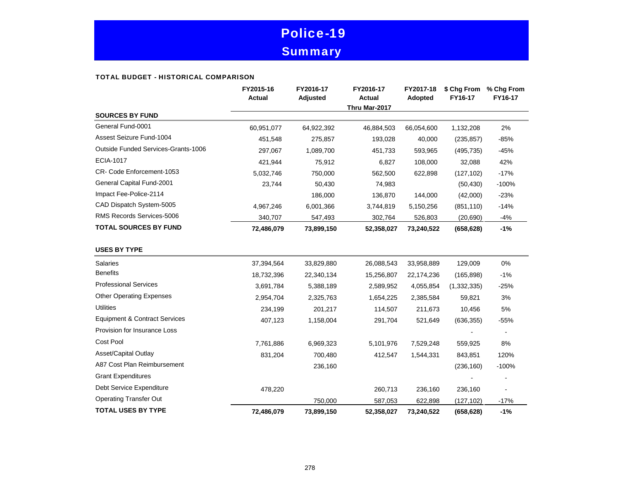# Police-19 **Summary**

#### TOTAL BUDGET - HISTORICAL COMPARISON

|                                          | FY2015-16<br><b>Actual</b> | FY2016-17<br>Adjusted | FY2016-17<br>Actual | FY2017-18<br>Adopted | \$ Chg From<br>FY16-17 | % Chg From<br>FY16-17 |
|------------------------------------------|----------------------------|-----------------------|---------------------|----------------------|------------------------|-----------------------|
| <b>SOURCES BY FUND</b>                   |                            |                       | Thru Mar-2017       |                      |                        |                       |
| General Fund-0001                        |                            |                       |                     |                      |                        |                       |
| Assest Seizure Fund-1004                 | 60,951,077                 | 64,922,392            | 46,884,503          | 66,054,600           | 1,132,208              | 2%                    |
|                                          | 451,548                    | 275,857               | 193,028             | 40,000               | (235, 857)             | $-85%$                |
| Outside Funded Services-Grants-1006      | 297,067                    | 1,089,700             | 451,733             | 593,965              | (495, 735)             | $-45%$                |
| <b>ECIA-1017</b>                         | 421,944                    | 75,912                | 6,827               | 108,000              | 32,088                 | 42%                   |
| CR- Code Enforcement-1053                | 5,032,746                  | 750,000               | 562,500             | 622,898              | (127, 102)             | $-17%$                |
| General Capital Fund-2001                | 23,744                     | 50,430                | 74,983              |                      | (50, 430)              | $-100%$               |
| Impact Fee-Police-2114                   |                            | 186,000               | 136,870             | 144,000              | (42,000)               | $-23%$                |
| CAD Dispatch System-5005                 | 4,967,246                  | 6,001,366             | 3,744,819           | 5,150,256            | (851, 110)             | $-14%$                |
| RMS Records Services-5006                | 340,707                    | 547,493               | 302,764             | 526,803              | (20, 690)              | $-4%$                 |
| <b>TOTAL SOURCES BY FUND</b>             | 72,486,079                 | 73,899,150            | 52,358,027          | 73,240,522           | (658, 628)             | $-1%$                 |
| <b>USES BY TYPE</b>                      |                            |                       |                     |                      |                        |                       |
| <b>Salaries</b>                          | 37,394,564                 | 33,829,880            | 26,088,543          | 33,958,889           | 129,009                | 0%                    |
| <b>Benefits</b>                          | 18,732,396                 | 22,340,134            | 15,256,807          | 22,174,236           | (165, 898)             | $-1%$                 |
| <b>Professional Services</b>             | 3,691,784                  | 5,388,189             | 2,589,952           | 4,055,854            | (1,332,335)            | $-25%$                |
| <b>Other Operating Expenses</b>          | 2,954,704                  | 2,325,763             | 1,654,225           | 2,385,584            | 59,821                 | 3%                    |
| <b>Utilities</b>                         | 234,199                    | 201,217               | 114,507             | 211,673              | 10,456                 | 5%                    |
| <b>Equipment &amp; Contract Services</b> | 407,123                    | 1,158,004             | 291,704             | 521,649              | (636, 355)             | $-55%$                |
| Provision for Insurance Loss             |                            |                       |                     |                      |                        |                       |
| Cost Pool                                | 7,761,886                  | 6,969,323             | 5,101,976           | 7,529,248            | 559,925                | 8%                    |
| Asset/Capital Outlay                     | 831,204                    | 700,480               | 412,547             | 1,544,331            | 843,851                | 120%                  |
| A87 Cost Plan Reimbursement              |                            | 236,160               |                     |                      | (236, 160)             | $-100%$               |
| <b>Grant Expenditures</b>                |                            |                       |                     |                      |                        |                       |
| Debt Service Expenditure                 | 478,220                    |                       | 260,713             | 236,160              | 236,160                |                       |
| <b>Operating Transfer Out</b>            |                            | 750,000               | 587,053             | 622,898              | (127, 102)             | $-17%$                |
| <b>TOTAL USES BY TYPE</b>                | 72,486,079                 | 73,899,150            | 52,358,027          | 73,240,522           | (658, 628)             | $-1%$                 |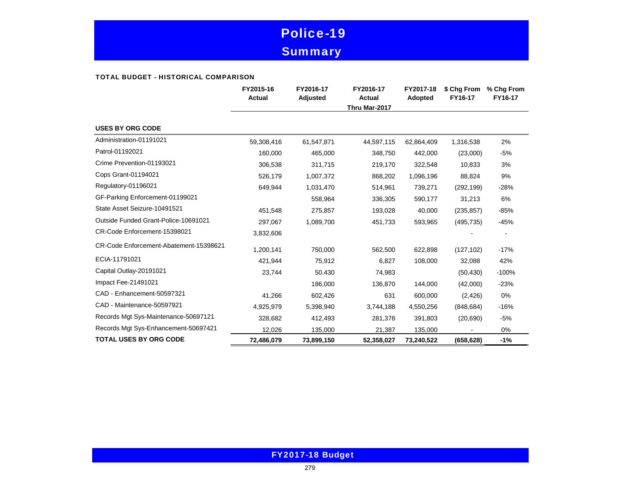# Police-19 **Summary**

#### TOTAL BUDGET - HISTORICAL COMPARISON

|                                        | FY2015-16<br><b>Actual</b> | FY2016-17<br>Adjusted | FY2016-17<br><b>Actual</b><br>Thru Mar-2017 | FY2017-18<br>Adopted | \$ Chg From<br>FY16-17 | % Chg From<br>FY16-17 |
|----------------------------------------|----------------------------|-----------------------|---------------------------------------------|----------------------|------------------------|-----------------------|
| <b>USES BY ORG CODE</b>                |                            |                       |                                             |                      |                        |                       |
| Administration-01191021                | 59,308,416                 | 61,547,871            | 44,597,115                                  | 62,864,409           | 1,316,538              | 2%                    |
| Patrol-01192021                        | 160,000                    | 465,000               | 348,750                                     | 442,000              | (23,000)               | $-5%$                 |
| Crime Prevention-01193021              | 306,538                    | 311,715               | 219,170                                     | 322,548              | 10,833                 | 3%                    |
| Cops Grant-01194021                    | 526,179                    | 1,007,372             | 868,202                                     | 1,096,196            | 88,824                 | 9%                    |
| Regulatory-01196021                    | 649,944                    | 1,031,470             | 514,961                                     | 739,271              | (292, 199)             | $-28%$                |
| GF-Parking Enforcement-01199021        |                            | 558,964               | 336,305                                     | 590,177              | 31,213                 | 6%                    |
| State Asset Seizure-10491521           | 451,548                    | 275,857               | 193,028                                     | 40,000               | (235, 857)             | $-85%$                |
| Outside Funded Grant-Police-10691021   | 297,067                    | 1,089,700             | 451,733                                     | 593,965              | (495, 735)             | $-45%$                |
| CR-Code Enforcement-15398021           | 3,832,606                  |                       |                                             |                      |                        |                       |
| CR-Code Enforcement-Abatement-15398621 | 1,200,141                  | 750,000               | 562,500                                     | 622,898              | (127, 102)             | $-17%$                |
| ECIA-11791021                          | 421,944                    | 75,912                | 6,827                                       | 108,000              | 32,088                 | 42%                   |
| Capital Outlay-20191021                | 23,744                     | 50,430                | 74,983                                      |                      | (50, 430)              | $-100%$               |
| Impact Fee-21491021                    |                            | 186,000               | 136,870                                     | 144,000              | (42,000)               | $-23%$                |
| CAD - Enhancement-50597321             | 41,266                     | 602,426               | 631                                         | 600,000              | (2, 426)               | 0%                    |
| CAD - Maintenance-50597921             | 4,925,979                  | 5,398,940             | 3,744,188                                   | 4,550,256            | (848, 684)             | $-16%$                |
| Records Mgt Sys-Maintenance-50697121   | 328,682                    | 412,493               | 281,378                                     | 391,803              | (20, 690)              | $-5%$                 |
| Records Mgt Sys-Enhancement-50697421   | 12,026                     | 135,000               | 21,387                                      | 135,000              |                        | $0\%$                 |
| <b>TOTAL USES BY ORG CODE</b>          | 72,486,079                 | 73,899,150            | 52,358,027                                  | 73,240,522           | (658, 628)             | $-1%$                 |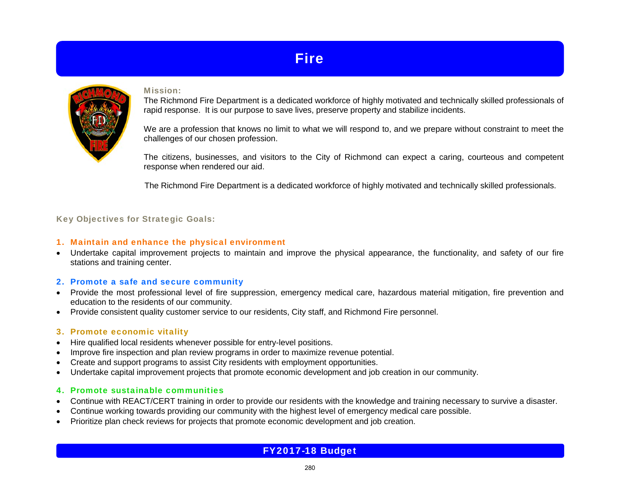# **Fire**



#### Mission:

The Richmond Fire Department is a dedicated workforce of highly motivated and technically skilled professionals of rapid response. It is our purpose to save lives, preserve property and stabilize incidents.

We are a profession that knows no limit to what we will respond to, and we prepare without constraint to meet the challenges of our chosen profession.

The citizens, businesses, and visitors to the City of Richmond can expect a caring, courteous and competent response when rendered our aid.

The Richmond Fire Department is a dedicated workforce of highly motivated and technically skilled professionals.

#### Key Objectives for Strategic Goals:

#### 1. Maintain and enhance the physical environment

• Undertake capital improvement projects to maintain and improve the physical appearance, the functionality, and safety of our fire stations and training center.

#### 2. Promote a safe and secure community

- Provide the most professional level of fire suppression, emergency medical care, hazardous material mitigation, fire prevention and education to the residents of our community.
- Provide consistent quality customer service to our residents, City staff, and Richmond Fire personnel.

#### 3. Promote economic vitality

- Hire qualified local residents whenever possible for entry-level positions.
- Improve fire inspection and plan review programs in order to maximize revenue potential.
- Create and support programs to assist City residents with employment opportunities.
- Undertake capital improvement projects that promote economic development and job creation in our community.

#### 4. Promote sustainable communities

- Continue with REACT/CERT training in order to provide our residents with the knowledge and training necessary to survive a disaster.
- Continue working towards providing our community with the highest level of emergency medical care possible.
- Prioritize plan check reviews for projects that promote economic development and job creation.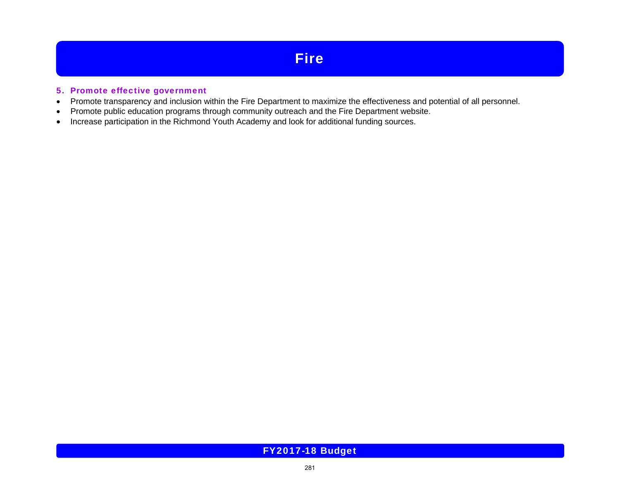# **Fire**

#### 5. Promote effective government

- Promote transparency and inclusion within the Fire Department to maximize the effectiveness and potential of all personnel.
- Promote public education programs through community outreach and the Fire Department website.
- Increase participation in the Richmond Youth Academy and look for additional funding sources.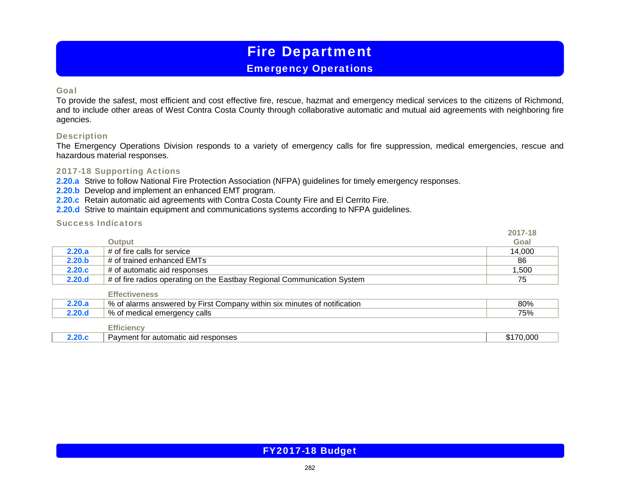### Emergency Operations

#### Goal

To provide the safest, most efficient and cost effective fire, rescue, hazmat and emergency medical services to the citizens of Richmond, and to include other areas of West Contra Costa County through collaborative automatic and mutual aid agreements with neighboring fire agencies.

#### Description

The Emergency Operations Division responds to a variety of emergency calls for fire suppression, medical emergencies, rescue and hazardous material responses.

#### 2017-18 Supporting Actions

**2.20.a** Strive to follow National Fire Protection Association (NFPA) guidelines for timely emergency responses.

- **2.20.b** Develop and implement an enhanced EMT program.
- **2.20.c** Retain automatic aid agreements with Contra Costa County Fire and El Cerrito Fire.
- **2.20.d** Strive to maintain equipment and communications systems according to NFPA guidelines.

#### Success Indicators

|                   |                                                                          | 2017-18   |
|-------------------|--------------------------------------------------------------------------|-----------|
|                   | <b>Output</b>                                                            | Goal      |
| 2.20.a            | # of fire calls for service                                              | 14,000    |
| 2.20 <sub>b</sub> | # of trained enhanced EMTs                                               | 86        |
| 2.20.c            | # of automatic aid responses                                             | 1,500     |
| 2.20.d            | # of fire radios operating on the Eastbay Regional Communication System  | 75        |
|                   | <b>Effectiveness</b>                                                     |           |
| 2.20.a            | % of alarms answered by First Company within six minutes of notification | 80%       |
| 2.20.d            | % of medical emergency calls                                             | 75%       |
|                   | <b>Efficiency</b>                                                        |           |
| 2.20.c            | Payment for automatic aid responses                                      | \$170,000 |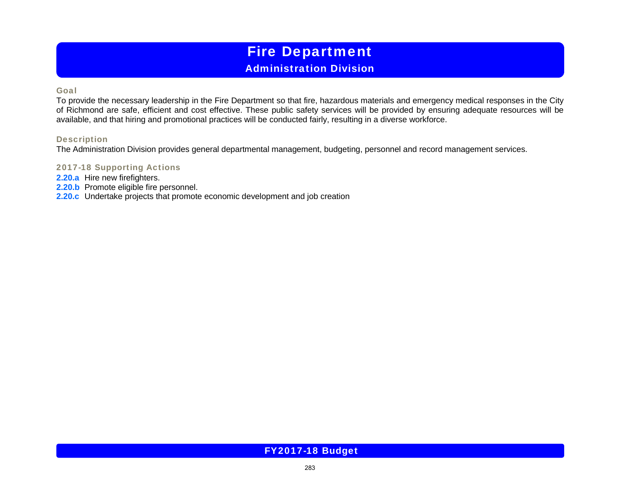## Administration Division

#### Goal

To provide the necessary leadership in the Fire Department so that fire, hazardous materials and emergency medical responses in the City of Richmond are safe, efficient and cost effective. These public safety services will be provided by ensuring adequate resources will be available, and that hiring and promotional practices will be conducted fairly, resulting in a diverse workforce.

#### **Description**

The Administration Division provides general departmental management, budgeting, personnel and record management services.

#### 2017-18 Supporting Actions

**2.20.a** Hire new firefighters.

- **2.20.b** Promote eligible fire personnel.
- **2.20.c** Undertake projects that promote economic development and job creation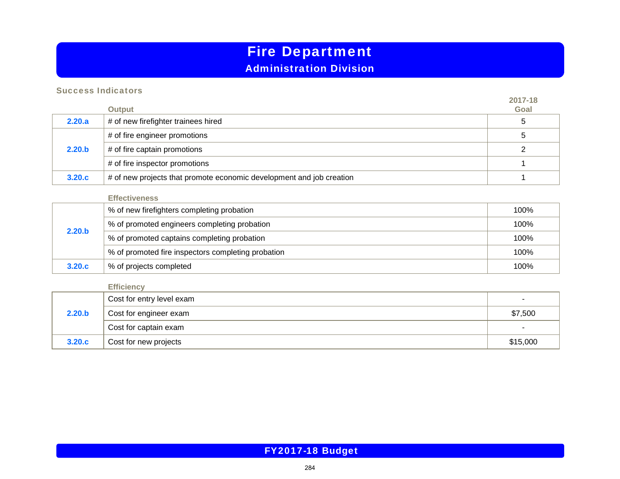## Administration Division

#### Success Indicators

|        | Output                                                               | 2017-18<br>Goal |
|--------|----------------------------------------------------------------------|-----------------|
| 2.20.a | # of new firefighter trainees hired                                  |                 |
|        | # of fire engineer promotions                                        |                 |
| 2.20.b | # of fire captain promotions                                         |                 |
|        | # of fire inspector promotions                                       |                 |
| 3.20.c | # of new projects that promote economic development and job creation |                 |

#### **Effectiveness**

|        | % of new firefighters completing probation         | 100% |
|--------|----------------------------------------------------|------|
|        | % of promoted engineers completing probation       | 100% |
| 2.20.b | % of promoted captains completing probation        | 100% |
|        | % of promoted fire inspectors completing probation | 100% |
| 3.20.c | % of projects completed                            | 100% |

|                   | <b>Efficiency</b>         |                          |
|-------------------|---------------------------|--------------------------|
| 2.20 <sub>b</sub> | Cost for entry level exam | $\overline{\phantom{a}}$ |
|                   | Cost for engineer exam    | \$7,500                  |
|                   | Cost for captain exam     | -                        |
| 3.20.c            | Cost for new projects     | \$15,000                 |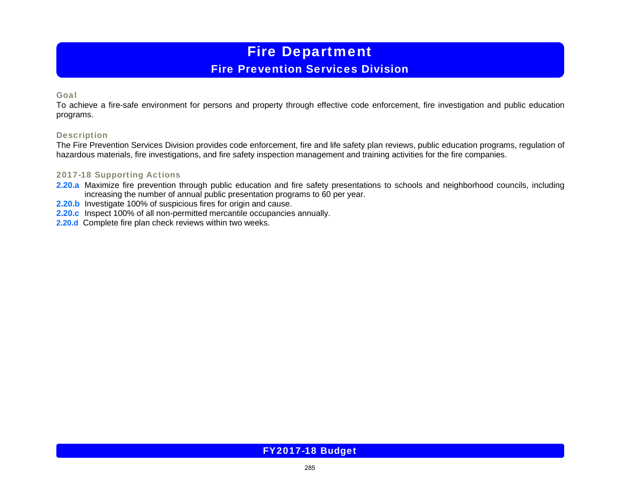## Fire Prevention Services Division

#### Goal

To achieve a fire-safe environment for persons and property through effective code enforcement, fire investigation and public education programs.

#### **Description**

The Fire Prevention Services Division provides code enforcement, fire and life safety plan reviews, public education programs, regulation of hazardous materials, fire investigations, and fire safety inspection management and training activities for the fire companies.

#### 2017-18 Supporting Actions

- **2.20.a** Maximize fire prevention through public education and fire safety presentations to schools and neighborhood councils, including increasing the number of annual public presentation programs to 60 per year.
- **2.20.b** Investigate 100% of suspicious fires for origin and cause.
- **2.20.c** Inspect 100% of all non-permitted mercantile occupancies annually.
- **2.20.d** Complete fire plan check reviews within two weeks.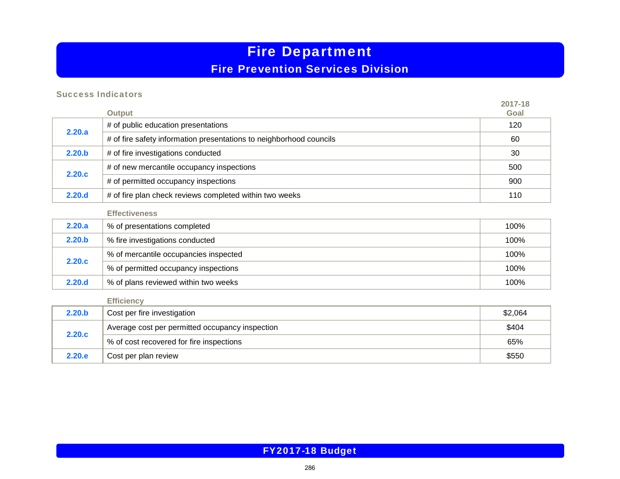## Fire Prevention Services Division

#### Success Indicators

|                   | <b>Output</b>                                                       | 2017-18<br>Goal |
|-------------------|---------------------------------------------------------------------|-----------------|
|                   | # of public education presentations                                 | 120             |
| 2.20.a            | # of fire safety information presentations to neighborhood councils | 60              |
| 2.20 <sub>b</sub> | # of fire investigations conducted                                  | 30              |
|                   | # of new mercantile occupancy inspections                           | 500             |
| 2.20.c            | # of permitted occupancy inspections                                | 900             |
| 2.20.d            | # of fire plan check reviews completed within two weeks             | 110             |
|                   | <b>Effectiveness</b>                                                |                 |
| 2.20.a            | % of presentations completed                                        | 100%            |
| 2.20.b            | % fire investigations conducted                                     | 100%            |
|                   | % of mercantile occupancies inspected                               | 100%            |
| 2.20.c            | % of permitted occupancy inspections                                | 100%            |
| 2.20.d            | % of plans reviewed within two weeks                                | 100%            |
|                   | <b>Efficiency</b>                                                   |                 |
| 2.20.b            | Cost per fire investigation                                         | \$2,064         |
|                   | Average cost per permitted occupancy inspection                     | \$404           |
| 2.20.c            | % of cost recovered for fire inspections                            | 65%             |
| 2.20.e            | Cost per plan review                                                | \$550           |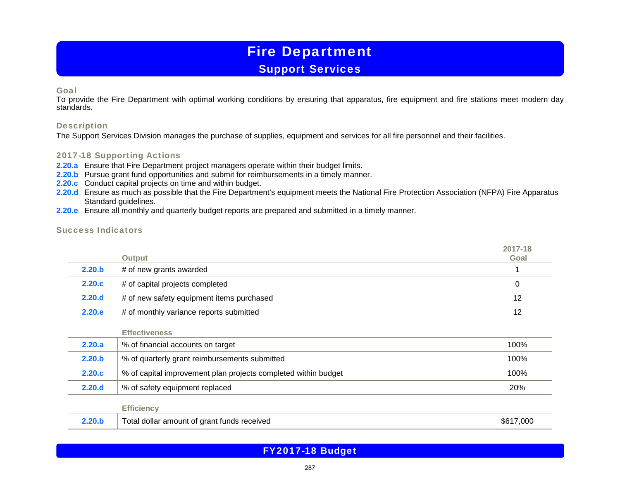## Fire Department **Support Services**

#### Goal

To provide the Fire Department with optimal working conditions by ensuring that apparatus, fire equipment and fire stations meet modern day standards.

#### **Description**

The Support Services Division manages the purchase of supplies, equipment and services for all fire personnel and their facilities.

#### 2017-18 Supporting Actions

- **2.20.a** Ensure that Fire Department project managers operate within their budget limits.
- **2.20.b** Pursue grant fund opportunities and submit for reimbursements in a timely manner.
- **2.20.c** Conduct capital projects on time and within budget.
- **2.20.d** Ensure as much as possible that the Fire Department's equipment meets the National Fire Protection Association (NFPA) Fire Apparatus Standard guidelines.
- **2.20.e** Ensure all monthly and quarterly budget reports are prepared and submitted in a timely manner.

#### Success Indicators

|                   | <b>Output</b>                             | 2017-18<br>Goal |
|-------------------|-------------------------------------------|-----------------|
| 2.20 <sub>b</sub> | # of new grants awarded                   |                 |
| 2.20.c            | # of capital projects completed           |                 |
| 2.20.d            | # of new safety equipment items purchased | 12              |
| 2.20.e            | # of monthly variance reports submitted   | 12              |

#### **Effectiveness**

| 2.20.a            | % of financial accounts on target                              | 100% |
|-------------------|----------------------------------------------------------------|------|
| 2.20 <sub>b</sub> | % of quarterly grant reimbursements submitted                  | 100% |
| 2.20.c            | % of capital improvement plan projects completed within budget | 100% |
| 2.20.d            | % of safety equipment replaced                                 | 20%  |

| 2.20.b | Total dollar amount of grant funds received | 7.000<br>ზб`. |
|--------|---------------------------------------------|---------------|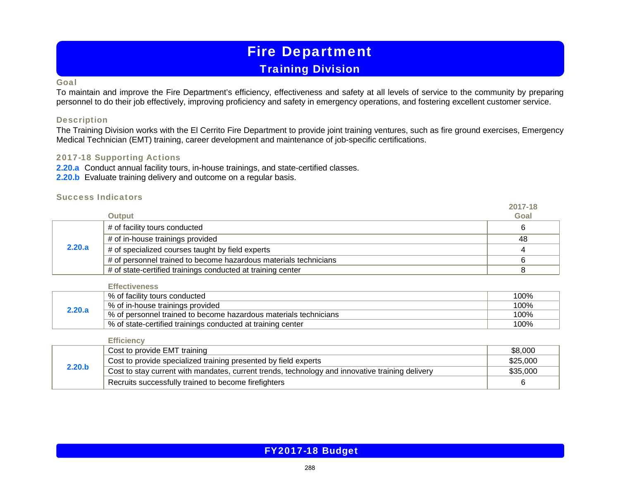## Fire Department Training Division

#### Goal

To maintain and improve the Fire Department's efficiency, effectiveness and safety at all levels of service to the community by preparing personnel to do their job effectively, improving proficiency and safety in emergency operations, and fostering excellent customer service.

#### **Description**

The Training Division works with the El Cerrito Fire Department to provide joint training ventures, such as fire ground exercises, Emergency Medical Technician (EMT) training, career development and maintenance of job-specific certifications.

#### 2017-18 Supporting Actions

**2.20.a** Conduct annual facility tours, in-house trainings, and state-certified classes.

**2.20.b** Evaluate training delivery and outcome on a regular basis.

#### Success Indicators

|        | <b>Output</b>                                                    | 2017-18<br>Goal |
|--------|------------------------------------------------------------------|-----------------|
| 2.20.a | # of facility tours conducted                                    |                 |
|        | # of in-house trainings provided                                 | 48              |
|        | # of specialized courses taught by field experts                 |                 |
|        | # of personnel trained to become hazardous materials technicians |                 |
|        | # of state-certified trainings conducted at training center      |                 |

#### **Effectiveness**

| 2.20.a | ⊩% of facility tours conducted                                   | 100% |
|--------|------------------------------------------------------------------|------|
|        | % of in-house trainings provided                                 | 100% |
|        | % of personnel trained to become hazardous materials technicians | 100% |
|        | % of state-certified trainings conducted at training center      | 100% |

#### **Efficiency**

|        | Cost to provide EMT training                                                                    | \$8,000  |
|--------|-------------------------------------------------------------------------------------------------|----------|
|        | Cost to provide specialized training presented by field experts                                 | \$25,000 |
| 2.20.b | Cost to stay current with mandates, current trends, technology and innovative training delivery | \$35,000 |
|        | Recruits successfully trained to become firefighters                                            |          |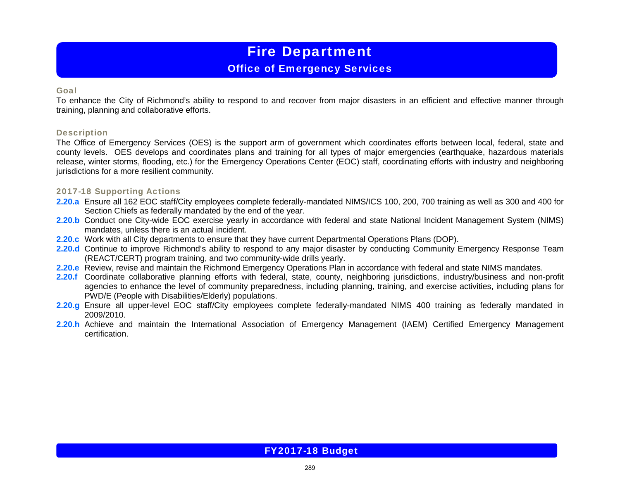### Office of Emergency Services

#### Goal

To enhance the City of Richmond's ability to respond to and recover from major disasters in an efficient and effective manner through training, planning and collaborative efforts.

#### **Description**

The Office of Emergency Services (OES) is the support arm of government which coordinates efforts between local, federal, state and county levels. OES develops and coordinates plans and training for all types of major emergencies (earthquake, hazardous materials release, winter storms, flooding, etc.) for the Emergency Operations Center (EOC) staff, coordinating efforts with industry and neighboring jurisdictions for a more resilient community.

#### 2017-18 Supporting Actions

- **2.20.a** Ensure all 162 EOC staff/City employees complete federally-mandated NIMS/ICS 100, 200, 700 training as well as 300 and 400 for Section Chiefs as federally mandated by the end of the year.
- **2.20.b** Conduct one City-wide EOC exercise yearly in accordance with federal and state National Incident Management System (NIMS) mandates, unless there is an actual incident.
- **2.20.c** Work with all City departments to ensure that they have current Departmental Operations Plans (DOP).
- **2.20.d** Continue to improve Richmond's ability to respond to any major disaster by conducting Community Emergency Response Team (REACT/CERT) program training, and two community-wide drills yearly.
- **2.20.e** Review, revise and maintain the Richmond Emergency Operations Plan in accordance with federal and state NIMS mandates.
- **2.20.f** Coordinate collaborative planning efforts with federal, state, county, neighboring jurisdictions, industry/business and non-profit agencies to enhance the level of community preparedness, including planning, training, and exercise activities, including plans for PWD/E (People with Disabilities/Elderly) populations.
- **2.20.g** Ensure all upper-level EOC staff/City employees complete federally-mandated NIMS 400 training as federally mandated in 2009/2010.
- **2.20.h** Achieve and maintain the International Association of Emergency Management (IAEM) Certified Emergency Management certification.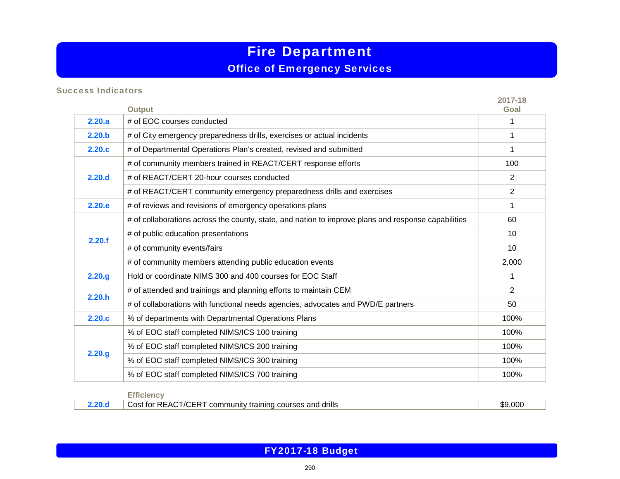## Office of Emergency Services

#### Success Indicators

|        | <b>Output</b>                                                                                       | 2017-18<br>Goal |
|--------|-----------------------------------------------------------------------------------------------------|-----------------|
| 2.20.a | # of EOC courses conducted                                                                          | 1               |
| 2.20.b | # of City emergency preparedness drills, exercises or actual incidents                              |                 |
| 2.20.c | # of Departmental Operations Plan's created, revised and submitted                                  |                 |
|        | # of community members trained in REACT/CERT response efforts                                       | 100             |
| 2.20.d | # of REACT/CERT 20-hour courses conducted                                                           | $\overline{2}$  |
|        | # of REACT/CERT community emergency preparedness drills and exercises                               | $\overline{2}$  |
| 2.20.e | # of reviews and revisions of emergency operations plans                                            | 1               |
|        | # of collaborations across the county, state, and nation to improve plans and response capabilities | 60              |
| 2.20.f | # of public education presentations                                                                 | 10              |
|        | # of community events/fairs                                                                         | 10              |
|        | # of community members attending public education events                                            | 2,000           |
| 2.20.g | Hold or coordinate NIMS 300 and 400 courses for EOC Staff                                           | 1               |
| 2.20.h | # of attended and trainings and planning efforts to maintain CEM                                    | $\overline{2}$  |
|        | # of collaborations with functional needs agencies, advocates and PWD/E partners                    | 50              |
| 2.20.c | % of departments with Departmental Operations Plans                                                 | 100%            |
| 2.20.g | % of EOC staff completed NIMS/ICS 100 training                                                      | 100%            |
|        | % of EOC staff completed NIMS/ICS 200 training                                                      | 100%            |
|        | % of EOC staff completed NIMS/ICS 300 training                                                      | 100%            |
|        | % of EOC staff completed NIMS/ICS 700 training                                                      | 100%            |

#### **Efficiency**

| <b>REACT/CERT</b><br>drills<br>\$9,000<br>courses and<br>community training<br>' ost forٽ |  |  |
|-------------------------------------------------------------------------------------------|--|--|
|                                                                                           |  |  |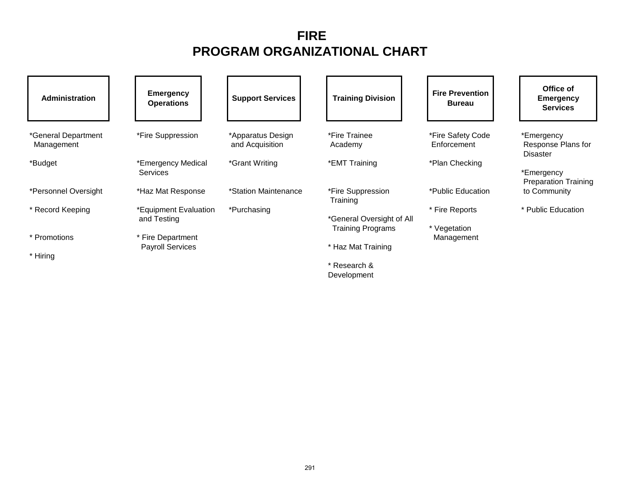## **FIRE PROGRAM ORGANIZATIONAL CHART**

| Administration                    | <b>Emergency</b><br><b>Operations</b>        | <b>Support Services</b>              | <b>Training Division</b>                              | <b>Fire Prevention</b><br><b>Bureau</b> | Office of<br><b>Emergency</b><br><b>Services</b>    |
|-----------------------------------|----------------------------------------------|--------------------------------------|-------------------------------------------------------|-----------------------------------------|-----------------------------------------------------|
| *General Department<br>Management | *Fire Suppression                            | *Apparatus Design<br>and Acquisition | *Fire Trainee<br>Academy                              | *Fire Safety Code<br>Enforcement        | *Emergency<br>Response Plans for<br><b>Disaster</b> |
| *Budget                           | *Emergency Medical<br><b>Services</b>        | *Grant Writing                       | *EMT Training                                         | *Plan Checking                          | *Emergency<br><b>Preparation Training</b>           |
| *Personnel Oversight              | *Haz Mat Response                            | *Station Maintenance                 | *Fire Suppression<br>Training                         | *Public Education                       | to Community                                        |
| * Record Keeping                  | *Equipment Evaluation<br>and Testing         | *Purchasing                          | *General Oversight of All<br><b>Training Programs</b> | * Fire Reports<br>* Vegetation          | * Public Education                                  |
| * Promotions                      | * Fire Department<br><b>Payroll Services</b> |                                      | * Haz Mat Training                                    | Management                              |                                                     |
| * Hiring                          |                                              |                                      | * Research &<br>Development                           |                                         |                                                     |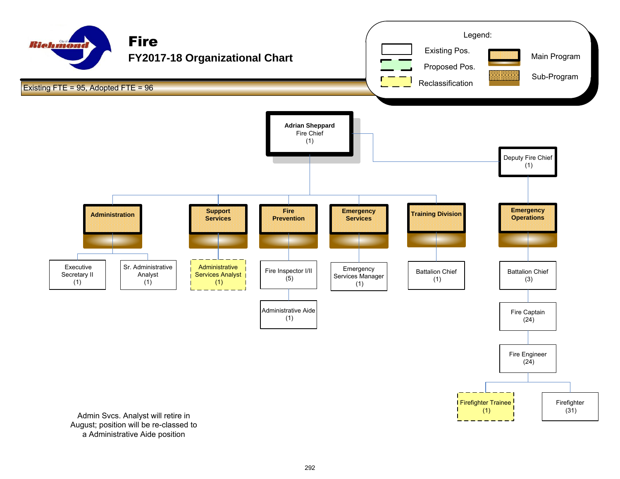

a Administrative Aide position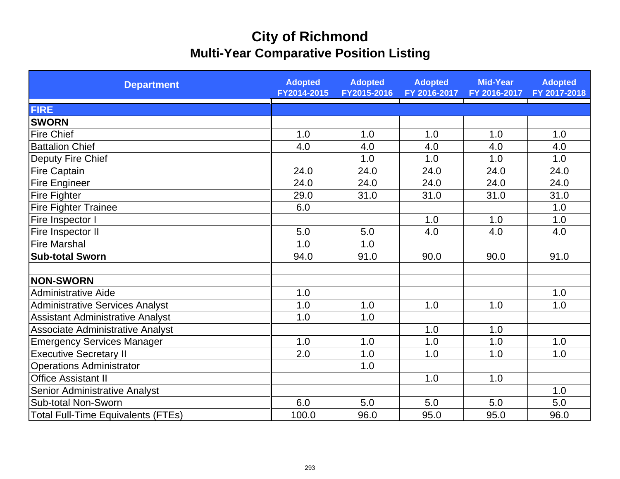| <b>Department</b>                         | <b>Adopted</b><br>FY2014-2015 | <b>Adopted</b><br>FY2015-2016 | <b>Adopted</b><br>FY 2016-2017 | <b>Mid-Year</b><br>FY 2016-2017 | <b>Adopted</b><br>FY 2017-2018 |
|-------------------------------------------|-------------------------------|-------------------------------|--------------------------------|---------------------------------|--------------------------------|
| <b>FIRE</b>                               |                               |                               |                                |                                 |                                |
| <b>SWORN</b>                              |                               |                               |                                |                                 |                                |
| <b>Fire Chief</b>                         | 1.0                           | 1.0                           | 1.0                            | 1.0                             | 1.0                            |
| <b>Battalion Chief</b>                    | 4.0                           | 4.0                           | 4.0                            | 4.0                             | 4.0                            |
| Deputy Fire Chief                         |                               | 1.0                           | 1.0                            | 1.0                             | 1.0                            |
| <b>Fire Captain</b>                       | 24.0                          | 24.0                          | 24.0                           | 24.0                            | 24.0                           |
| <b>Fire Engineer</b>                      | 24.0                          | 24.0                          | 24.0                           | 24.0                            | 24.0                           |
| Fire Fighter                              | 29.0                          | 31.0                          | 31.0                           | 31.0                            | 31.0                           |
| <b>Fire Fighter Trainee</b>               | 6.0                           |                               |                                |                                 | 1.0                            |
| Fire Inspector I                          |                               |                               | 1.0                            | 1.0                             | 1.0                            |
| Fire Inspector II                         | 5.0                           | 5.0                           | 4.0                            | 4.0                             | 4.0                            |
| <b>Fire Marshal</b>                       | 1.0                           | 1.0                           |                                |                                 |                                |
| <b>Sub-total Sworn</b>                    | 94.0                          | 91.0                          | 90.0                           | 90.0                            | 91.0                           |
|                                           |                               |                               |                                |                                 |                                |
| <b>NON-SWORN</b>                          |                               |                               |                                |                                 |                                |
| Administrative Aide                       | 1.0                           |                               |                                |                                 | 1.0                            |
| <b>Administrative Services Analyst</b>    | 1.0                           | 1.0                           | 1.0                            | 1.0                             | 1.0                            |
| <b>Assistant Administrative Analyst</b>   | 1.0                           | 1.0                           |                                |                                 |                                |
| <b>Associate Administrative Analyst</b>   |                               |                               | 1.0                            | 1.0                             |                                |
| <b>Emergency Services Manager</b>         | 1.0                           | 1.0                           | 1.0                            | 1.0                             | 1.0                            |
| <b>Executive Secretary II</b>             | 2.0                           | 1.0                           | 1.0                            | 1.0                             | 1.0                            |
| <b>Operations Administrator</b>           |                               | 1.0                           |                                |                                 |                                |
| <b>Office Assistant II</b>                |                               |                               | 1.0                            | 1.0                             |                                |
| Senior Administrative Analyst             |                               |                               |                                |                                 | 1.0                            |
| Sub-total Non-Sworn                       | 6.0                           | 5.0                           | 5.0                            | 5.0                             | 5.0                            |
| <b>Total Full-Time Equivalents (FTEs)</b> | 100.0                         | 96.0                          | 95.0                           | 95.0                            | 96.0                           |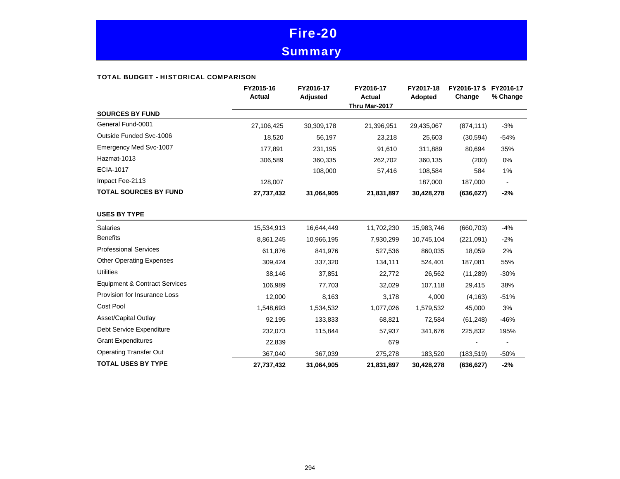# Fire-20 **Summary**

#### TOTAL BUDGET - HISTORICAL COMPARISON

|                                          | FY2015-16<br><b>Actual</b> | FY2016-17<br>Adjusted | FY2016-17<br><b>Actual</b><br>Thru Mar-2017 | FY2017-18<br><b>Adopted</b> | FY2016-17\$<br>Change | FY2016-17<br>% Change |
|------------------------------------------|----------------------------|-----------------------|---------------------------------------------|-----------------------------|-----------------------|-----------------------|
| <b>SOURCES BY FUND</b>                   |                            |                       |                                             |                             |                       |                       |
| General Fund-0001                        | 27,106,425                 | 30,309,178            | 21,396,951                                  | 29,435,067                  | (874, 111)            | $-3%$                 |
| Outside Funded Svc-1006                  | 18,520                     | 56,197                | 23,218                                      | 25,603                      | (30, 594)             | $-54%$                |
| Emergency Med Svc-1007                   | 177,891                    | 231,195               | 91,610                                      | 311,889                     | 80,694                | 35%                   |
| Hazmat-1013                              | 306,589                    | 360,335               | 262,702                                     | 360,135                     | (200)                 | $0\%$                 |
| <b>ECIA-1017</b>                         |                            | 108,000               | 57,416                                      | 108,584                     | 584                   | 1%                    |
| Impact Fee-2113                          | 128,007                    |                       |                                             | 187,000                     | 187,000               |                       |
| <b>TOTAL SOURCES BY FUND</b>             | 27,737,432                 | 31,064,905            | 21,831,897                                  | 30,428,278                  | (636, 627)            | $-2%$                 |
| <b>USES BY TYPE</b>                      |                            |                       |                                             |                             |                       |                       |
| <b>Salaries</b>                          | 15,534,913                 | 16,644,449            | 11,702,230                                  | 15,983,746                  | (660, 703)            | $-4%$                 |
| <b>Benefits</b>                          | 8,861,245                  | 10,966,195            | 7,930,299                                   | 10,745,104                  | (221,091)             | $-2%$                 |
| <b>Professional Services</b>             | 611,876                    | 841,976               | 527,536                                     | 860,035                     | 18,059                | 2%                    |
| <b>Other Operating Expenses</b>          | 309,424                    | 337,320               | 134,111                                     | 524,401                     | 187,081               | 55%                   |
| <b>Utilities</b>                         | 38,146                     | 37,851                | 22,772                                      | 26,562                      | (11, 289)             | $-30%$                |
| <b>Equipment &amp; Contract Services</b> | 106,989                    | 77,703                | 32,029                                      | 107,118                     | 29,415                | 38%                   |
| Provision for Insurance Loss             | 12,000                     | 8,163                 | 3,178                                       | 4,000                       | (4, 163)              | $-51%$                |
| Cost Pool                                | 1,548,693                  | 1,534,532             | 1,077,026                                   | 1,579,532                   | 45,000                | 3%                    |
| Asset/Capital Outlay                     | 92,195                     | 133,833               | 68,821                                      | 72,584                      | (61, 248)             | $-46%$                |
| Debt Service Expenditure                 | 232,073                    | 115,844               | 57,937                                      | 341,676                     | 225,832               | 195%                  |
| <b>Grant Expenditures</b>                | 22,839                     |                       | 679                                         |                             |                       |                       |
| <b>Operating Transfer Out</b>            | 367,040                    | 367,039               | 275,278                                     | 183,520                     | (183, 519)            | $-50%$                |
| <b>TOTAL USES BY TYPE</b>                | 27,737,432                 | 31,064,905            | 21,831,897                                  | 30,428,278                  | (636, 627)            | $-2%$                 |